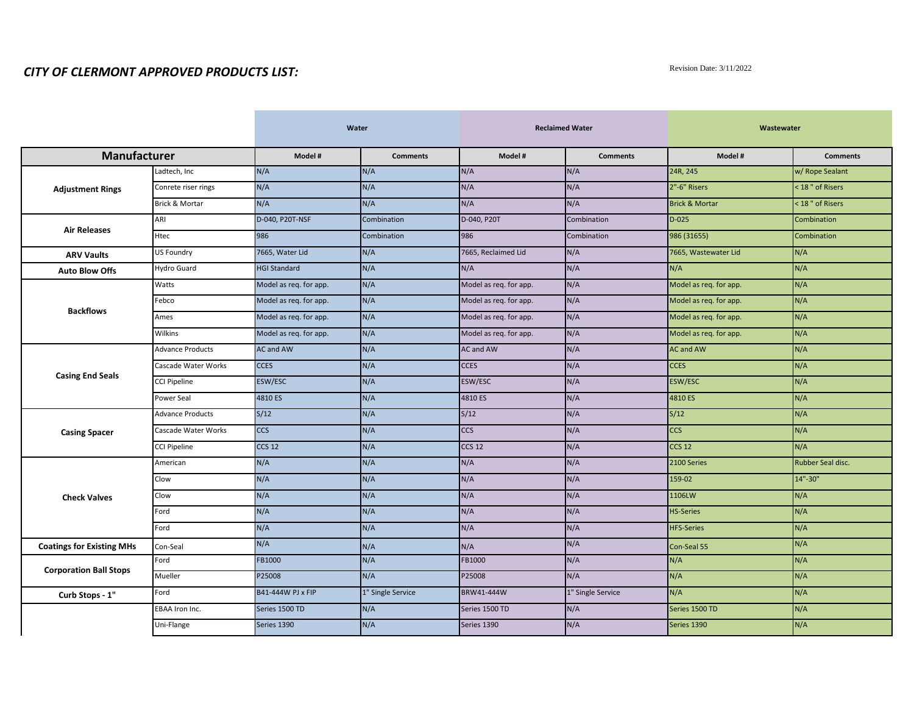## **CITY OF CLERMONT APPROVED PRODUCTS LIST:** And the state of the state of the state of the state of the state of the state of the state of the state of the state of the state of the state of the state of the state of the st

|                                  |                         | Water                  |                   | <b>Reclaimed Water</b> |                   | Wastewater                |                   |
|----------------------------------|-------------------------|------------------------|-------------------|------------------------|-------------------|---------------------------|-------------------|
| Manufacturer                     |                         | Model #                | <b>Comments</b>   | Model #                | <b>Comments</b>   | Model #                   | <b>Comments</b>   |
|                                  | Ladtech, Inc            | N/A                    | N/A               | N/A                    | N/A               | 24R, 245                  | w/ Rope Sealant   |
| <b>Adjustment Rings</b>          | Conrete riser rings     | N/A                    | N/A               | N/A                    | N/A               | 2"-6" Risers              | < 18 " of Risers  |
|                                  | Brick & Mortar          | N/A                    | N/A               | N/A                    | N/A               | <b>Brick &amp; Mortar</b> | < 18 " of Risers  |
|                                  | ARI                     | D-040, P20T-NSF        | Combination       | D-040, P20T            | Combination       | $D-025$                   | Combination       |
| <b>Air Releases</b>              | Htec                    | 986                    | Combination       | 986                    | Combination       | 986 (31655)               | Combination       |
| <b>ARV Vaults</b>                | US Foundry              | 7665, Water Lid        | N/A               | 7665, Reclaimed Lid    | N/A               | 7665, Wastewater Lid      | N/A               |
| <b>Auto Blow Offs</b>            | Hydro Guard             | <b>HGI Standard</b>    | N/A               | N/A                    | N/A               | N/A                       | N/A               |
|                                  | Watts                   | Model as req. for app. | N/A               | Model as req. for app. | N/A               | Model as req. for app.    | N/A               |
|                                  | Febco                   | Model as req. for app. | N/A               | Model as req. for app. | N/A               | Model as req. for app.    | N/A               |
| <b>Backflows</b>                 | Ames                    | Model as req. for app. | N/A               | Model as req. for app. | N/A               | Model as req. for app.    | N/A               |
|                                  | Wilkins                 | Model as req. for app. | N/A               | Model as req. for app. | N/A               | Model as req. for app.    | N/A               |
|                                  | <b>Advance Products</b> | AC and AW              | N/A               | AC and AW              | N/A               | <b>AC and AW</b>          | N/A               |
|                                  | Cascade Water Works     | <b>CCES</b>            | N/A               | <b>CCES</b>            | N/A               | <b>CCES</b>               | N/A               |
| <b>Casing End Seals</b>          | <b>CCI Pipeline</b>     | ESW/ESC                | N/A               | ESW/ESC                | N/A               | ESW/ESC                   | N/A               |
|                                  | Power Seal              | 4810 ES                | N/A               | 4810 ES                | N/A               | 4810 ES                   | N/A               |
|                                  | <b>Advance Products</b> | S/12                   | N/A               | S/12                   | N/A               | S/12                      | N/A               |
| <b>Casing Spacer</b>             | Cascade Water Works     | <b>CCS</b>             | N/A               | <b>CCS</b>             | N/A               | <b>CCS</b>                | N/A               |
|                                  | <b>CCI Pipeline</b>     | <b>CCS 12</b>          | N/A               | <b>CCS 12</b>          | N/A               | <b>CCS 12</b>             | N/A               |
|                                  | American                | N/A                    | N/A               | N/A                    | N/A               | 2100 Series               | Rubber Seal disc. |
|                                  | Clow                    | N/A                    | N/A               | N/A                    | N/A               | 159-02                    | 14"-30"           |
| <b>Check Valves</b>              | Clow                    | N/A                    | N/A               | N/A                    | N/A               | 1106LW                    | N/A               |
|                                  | Ford                    | N/A                    | N/A               | N/A                    | N/A               | <b>HS-Series</b>          | N/A               |
|                                  | Ford                    | N/A                    | N/A               | N/A                    | N/A               | <b>HFS-Series</b>         | N/A               |
| <b>Coatings for Existing MHs</b> | Con-Seal                | N/A                    | N/A               | N/A                    | N/A               | Con-Seal 55               | N/A               |
|                                  | Ford                    | FB1000                 | N/A               | FB1000                 | N/A               | N/A                       | N/A               |
| <b>Corporation Ball Stops</b>    | Mueller                 | P25008                 | N/A               | P25008                 | N/A               | N/A                       | N/A               |
| Curb Stops - 1"                  | Ford                    | B41-444W PJ x FIP      | 1" Single Service | BRW41-444W             | 1" Single Service | N/A                       | N/A               |
|                                  | EBAA Iron Inc.          | Series 1500 TD         | N/A               | Series 1500 TD         | N/A               | Series 1500 TD            | N/A               |
|                                  | Uni-Flange              | Series 1390            | N/A               | Series 1390            | N/A               | Series 1390               | N/A               |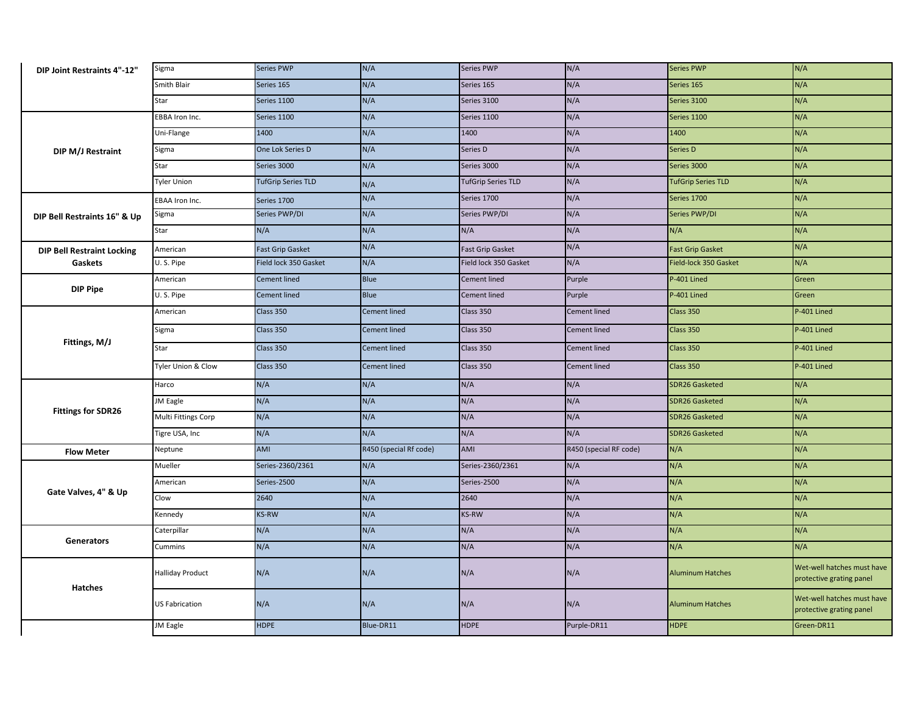| DIP Joint Restraints 4"-12"       | Sigma                   | Series PWP                | N/A                    | Series PWP                | N/A                    | Series PWP              | N/A                                                    |
|-----------------------------------|-------------------------|---------------------------|------------------------|---------------------------|------------------------|-------------------------|--------------------------------------------------------|
|                                   | Smith Blair             | Series 165                | N/A                    | Series 165                | N/A                    | Series 165              | N/A                                                    |
|                                   | Star                    | Series 1100               | N/A                    | Series 3100               | N/A                    | Series 3100             | N/A                                                    |
|                                   | EBBA Iron Inc.          | Series 1100               | N/A                    | Series 1100               | N/A                    | Series 1100             | N/A                                                    |
|                                   | Uni-Flange              | 1400                      | N/A                    | 1400                      | N/A                    | 1400                    | N/A                                                    |
| DIP M/J Restraint                 | Sigma                   | One Lok Series D          | N/A                    | Series D                  | N/A                    | Series D                | N/A                                                    |
|                                   | Star                    | Series 3000               | N/A                    | Series 3000               | N/A                    | Series 3000             | N/A                                                    |
|                                   | Tyler Union             | <b>TufGrip Series TLD</b> | N/A                    | <b>TufGrip Series TLD</b> | N/A                    | TufGrip Series TLD      | N/A                                                    |
|                                   | EBAA Iron Inc.          | Series 1700               | N/A                    | Series 1700               | N/A                    | Series 1700             | N/A                                                    |
| DIP Bell Restraints 16" & Up      | Sigma                   | Series PWP/DI             | N/A                    | Series PWP/DI             | N/A                    | Series PWP/DI           | N/A                                                    |
|                                   | Star                    | N/A                       | N/A                    | N/A                       | N/A                    | N/A                     | N/A                                                    |
| <b>DIP Bell Restraint Locking</b> | American                | Fast Grip Gasket          | N/A                    | Fast Grip Gasket          | N/A                    | <b>Fast Grip Gasket</b> | N/A                                                    |
| Gaskets                           | U.S. Pipe               | Field lock 350 Gasket     | N/A                    | Field lock 350 Gasket     | N/A                    | Field-lock 350 Gasket   | N/A                                                    |
|                                   | American                | Cement lined              | <b>Blue</b>            | <b>Cement lined</b>       | Purple                 | P-401 Lined             | Green                                                  |
| <b>DIP Pipe</b>                   | U.S. Pipe               | Cement lined              | <b>Blue</b>            | <b>Cement lined</b>       | Purple                 | P-401 Lined             | Green                                                  |
|                                   | American                | Class 350                 | Cement lined           | Class 350                 | Cement lined           | Class 350               | P-401 Lined                                            |
| Fittings, M/J                     | Sigma                   | Class 350                 | <b>Cement lined</b>    | Class 350                 | Cement lined           | Class 350               | P-401 Lined                                            |
|                                   | Star                    | Class 350                 | <b>Cement lined</b>    | Class 350                 | Cement lined           | Class 350               | P-401 Lined                                            |
|                                   | Tyler Union & Clow      | Class 350                 | Cement lined           | Class 350                 | <b>Cement lined</b>    | Class 350               | P-401 Lined                                            |
|                                   | Harco                   | N/A                       | N/A                    | N/A                       | N/A                    | <b>SDR26 Gasketed</b>   | N/A                                                    |
|                                   | JM Eagle                | N/A                       | N/A                    | N/A                       | N/A                    | <b>SDR26 Gasketed</b>   | N/A                                                    |
| <b>Fittings for SDR26</b>         | Multi Fittings Corp     | N/A                       | N/A                    | N/A                       | N/A                    | <b>SDR26 Gasketed</b>   | N/A                                                    |
|                                   | Tigre USA, Inc          | N/A                       | N/A                    | N/A                       | N/A                    | <b>SDR26 Gasketed</b>   | N/A                                                    |
| <b>Flow Meter</b>                 | Neptune                 | AMI                       | R450 (special Rf code) | AMI                       | R450 (special RF code) | N/A                     | N/A                                                    |
|                                   | Mueller                 | Series-2360/2361          | N/A                    | Series-2360/2361          | N/A                    | N/A                     | N/A                                                    |
|                                   | American                | Series-2500               | N/A                    | Series-2500               | N/A                    | N/A                     | N/A                                                    |
| Gate Valves, 4" & Up              | Clow                    | 2640                      | N/A                    | 2640                      | N/A                    | N/A                     | N/A                                                    |
|                                   | Kennedy                 | <b>KS-RW</b>              | N/A                    | <b>KS-RW</b>              | N/A                    | N/A                     | N/A                                                    |
| Generators                        | Caterpillar             | N/A                       | N/A                    | N/A                       | N/A                    | N/A                     | N/A                                                    |
|                                   | Cummins                 | N/A                       | N/A                    | N/A                       | N/A                    | N/A                     | N/A                                                    |
| <b>Hatches</b>                    | <b>Halliday Product</b> | N/A                       | N/A                    | N/A                       | N/A                    | <b>Aluminum Hatches</b> | Wet-well hatches must have<br>protective grating panel |
|                                   | US Fabrication          | N/A                       | N/A                    | N/A                       | N/A                    | <b>Aluminum Hatches</b> | Wet-well hatches must have<br>protective grating panel |
|                                   | JM Eagle                | <b>HDPE</b>               | Blue-DR11              | <b>HDPE</b>               | Purple-DR11            | <b>HDPE</b>             | Green-DR11                                             |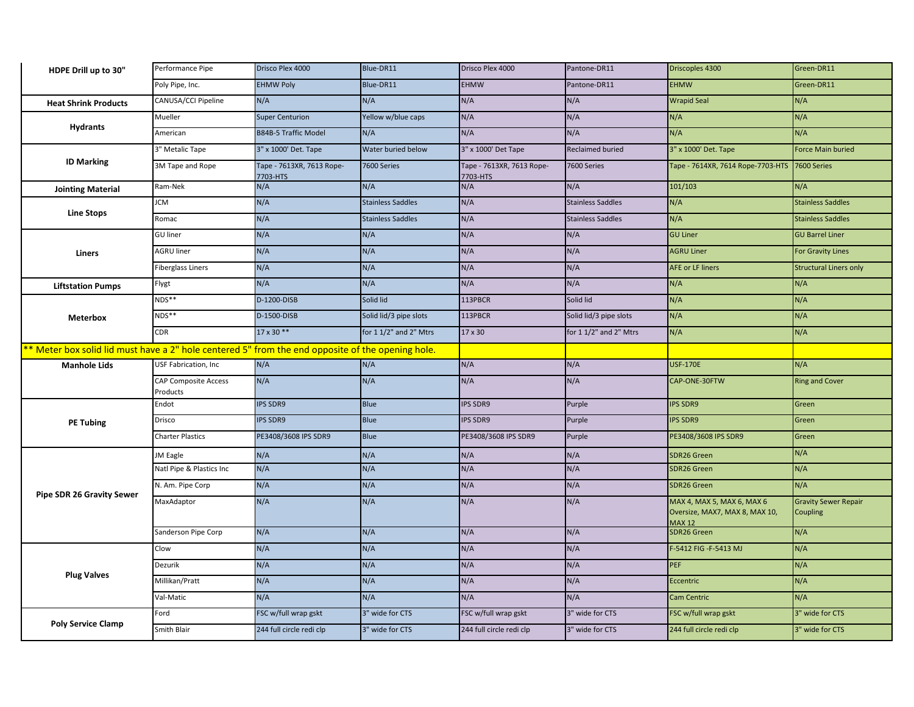| HDPE Drill up to 30"                                                                                               | Performance Pipe                        | Drisco Plex 4000                      | Blue-DR11                | Drisco Plex 4000                      | Pantone-DR11             | Driscoples 4300                                                               | Green-DR11                              |
|--------------------------------------------------------------------------------------------------------------------|-----------------------------------------|---------------------------------------|--------------------------|---------------------------------------|--------------------------|-------------------------------------------------------------------------------|-----------------------------------------|
|                                                                                                                    | Poly Pipe, Inc.                         | <b>EHMW Poly</b>                      | Blue-DR11                | <b>EHMW</b>                           | Pantone-DR11             | <b>EHMW</b>                                                                   | Green-DR11                              |
| <b>Heat Shrink Products</b>                                                                                        | CANUSA/CCI Pipeline                     | N/A                                   | N/A                      | N/A                                   | N/A                      | <b>Wrapid Seal</b>                                                            | N/A                                     |
|                                                                                                                    | Mueller                                 | <b>Super Centurion</b>                | Yellow w/blue caps       | N/A                                   | N/A                      | N/A                                                                           | N/A                                     |
| <b>Hydrants</b>                                                                                                    | American                                | B84B-5 Traffic Model                  | N/A                      | N/A                                   | N/A                      | N/A                                                                           | N/A                                     |
|                                                                                                                    | 3" Metalic Tape                         | 3" x 1000' Det. Tape                  | Water buried below       | 3" x 1000' Det Tape                   | <b>Reclaimed buried</b>  | 3" x 1000' Det. Tape                                                          | Force Main buried                       |
| <b>ID Marking</b>                                                                                                  | 3M Tape and Rope                        | Tape - 7613XR, 7613 Rope-<br>7703-HTS | 7600 Series              | Tape - 7613XR, 7613 Rope-<br>7703-HTS | 7600 Series              | Tape - 7614XR, 7614 Rope-7703-HTS                                             | 7600 Series                             |
| <b>Jointing Material</b>                                                                                           | Ram-Nek                                 | N/A                                   | N/A                      | N/A                                   | N/A                      | 101/103                                                                       | N/A                                     |
| <b>Line Stops</b>                                                                                                  | JCM                                     | N/A                                   | <b>Stainless Saddles</b> | N/A                                   | <b>Stainless Saddles</b> | N/A                                                                           | <b>Stainless Saddles</b>                |
|                                                                                                                    | Romac                                   | N/A                                   | <b>Stainless Saddles</b> | N/A                                   | <b>Stainless Saddles</b> | N/A                                                                           | <b>Stainless Saddles</b>                |
|                                                                                                                    | <b>GU liner</b>                         | N/A                                   | N/A                      | N/A                                   | N/A                      | <b>GU Liner</b>                                                               | <b>GU Barrel Liner</b>                  |
| Liners                                                                                                             | AGRU liner                              | N/A                                   | N/A                      | N/A                                   | N/A                      | <b>AGRU Liner</b>                                                             | For Gravity Lines                       |
|                                                                                                                    | <b>Fiberglass Liners</b>                | N/A                                   | N/A                      | N/A                                   | N/A                      | <b>AFE or LF liners</b>                                                       | <b>Structural Liners only</b>           |
| <b>Liftstation Pumps</b>                                                                                           | Flygt                                   | N/A                                   | N/A                      | N/A                                   | N/A                      | N/A                                                                           | N/A                                     |
|                                                                                                                    | NDS**                                   | D-1200-DISB                           | Solid lid                | 113PBCR                               | Solid lid                | N/A                                                                           | N/A                                     |
| <b>Meterbox</b>                                                                                                    | NDS**                                   | D-1500-DISB                           | Solid lid/3 pipe slots   | 113PBCR                               | Solid lid/3 pipe slots   | N/A                                                                           | N/A                                     |
|                                                                                                                    | CDR                                     | $17 \times 30$ **                     | for 1 1/2" and 2" Mtrs   | 17 x 30                               | for 1 1/2" and 2" Mtrs   | N/A                                                                           | N/A                                     |
| $*$ Meter box solid lid must have a $2^{\prime\prime}$ hole centered 5" from the end opposite of the opening hole. |                                         |                                       |                          |                                       |                          |                                                                               |                                         |
| <b>Manhole Lids</b>                                                                                                | USF Fabrication, Inc                    | N/A                                   | N/A                      | N/A                                   | N/A                      | <b>USF-170E</b>                                                               | N/A                                     |
|                                                                                                                    | <b>CAP Composite Access</b><br>Products | N/A                                   | N/A                      | N/A                                   | N/A                      | CAP-ONE-30FTW                                                                 | <b>Ring and Cover</b>                   |
|                                                                                                                    | Endot                                   | <b>IPS SDR9</b>                       | <b>Blue</b>              | <b>IPS SDR9</b>                       | Purple                   | <b>IPS SDR9</b>                                                               | Green                                   |
| <b>PE Tubing</b>                                                                                                   | Drisco                                  | <b>IPS SDR9</b>                       | Blue                     | <b>IPS SDR9</b>                       | Purple                   | <b>IPS SDR9</b>                                                               | Green                                   |
|                                                                                                                    | <b>Charter Plastics</b>                 | PE3408/3608 IPS SDR9                  | <b>Blue</b>              | PE3408/3608 IPS SDR9                  | Purple                   | PE3408/3608 IPS SDR9                                                          | Green                                   |
|                                                                                                                    | JM Eagle                                | N/A                                   | N/A                      | N/A                                   | N/A                      | SDR26 Green                                                                   | N/A                                     |
|                                                                                                                    | Natl Pipe & Plastics Inc                | N/A                                   | N/A                      | N/A                                   | N/A                      | SDR26 Green                                                                   | N/A                                     |
|                                                                                                                    | N. Am. Pipe Corp                        | N/A                                   | N/A                      | N/A                                   | N/A                      | SDR26 Green                                                                   | N/A                                     |
| <b>Pipe SDR 26 Gravity Sewer</b>                                                                                   | MaxAdaptor                              | N/A                                   | N/A                      | N/A                                   | N/A                      | MAX 4, MAX 5, MAX 6, MAX 6<br>Oversize, MAX7, MAX 8, MAX 10,<br><b>MAX 12</b> | <b>Gravity Sewer Repair</b><br>Coupling |
|                                                                                                                    | Sanderson Pipe Corp                     | N/A                                   | N/A                      | N/A                                   | N/A                      | SDR26 Green                                                                   | N/A                                     |
| <b>Plug Valves</b>                                                                                                 | Clow                                    | N/A                                   | N/A                      | N/A                                   | N/A                      | F-5412 FIG -F-5413 MJ                                                         | N/A                                     |
|                                                                                                                    | Dezurik                                 | N/A                                   | N/A                      | N/A                                   | N/A                      | <b>PEF</b>                                                                    | N/A                                     |
|                                                                                                                    | Millikan/Pratt                          | N/A                                   | N/A                      | N/A                                   | N/A                      | <b>Eccentric</b>                                                              | N/A                                     |
|                                                                                                                    | Val-Matic                               | N/A                                   | N/A                      | N/A                                   | N/A                      | Cam Centric                                                                   | N/A                                     |
|                                                                                                                    | Ford                                    | FSC w/full wrap gskt                  | 3" wide for CTS          | FSC w/full wrap gskt                  | 3" wide for CTS          | FSC w/full wrap gskt                                                          | 3" wide for CTS                         |
| <b>Poly Service Clamp</b>                                                                                          | <b>Smith Blair</b>                      | 244 full circle redi clp              | 3" wide for CTS          | 244 full circle redi clp              | 3" wide for CTS          | 244 full circle redi clp                                                      | <sup>'</sup> wide for CTS               |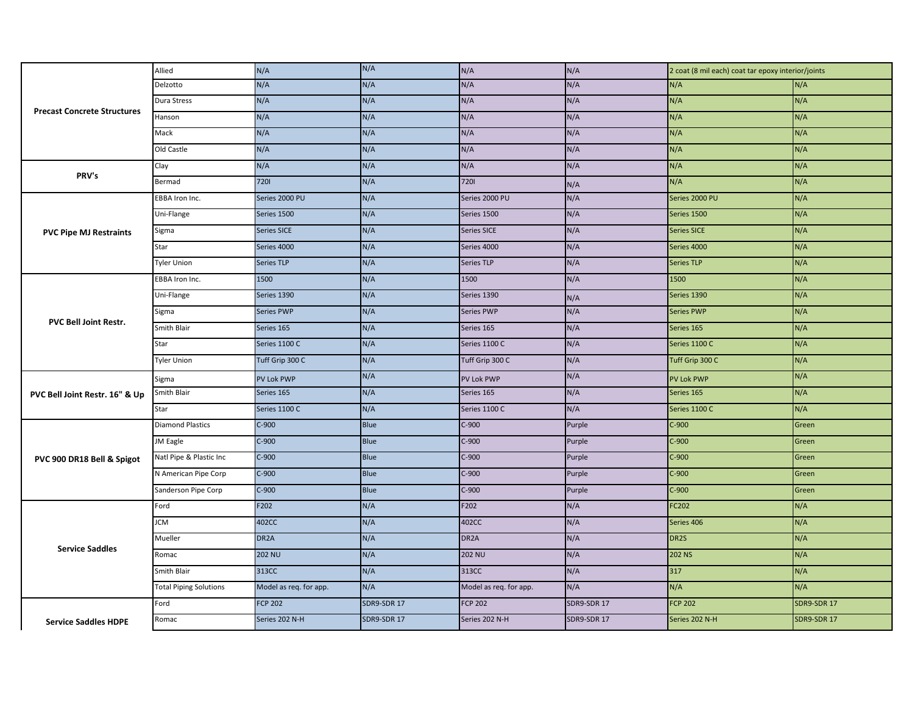| <b>Precast Concrete Structures</b> | Allied                        | N/A                    | N/A                | N/A                    | N/A                | 2 coat (8 mil each) coat tar epoxy interior/joints |                    |
|------------------------------------|-------------------------------|------------------------|--------------------|------------------------|--------------------|----------------------------------------------------|--------------------|
|                                    | Delzotto                      | N/A                    | N/A                | N/A                    | N/A                | N/A                                                | N/A                |
|                                    | Dura Stress                   | N/A                    | N/A                | N/A                    | N/A                | N/A                                                | N/A                |
|                                    | Hanson                        | N/A                    | N/A                | N/A                    | N/A                | N/A                                                | N/A                |
|                                    | Mack                          | N/A                    | N/A                | N/A                    | N/A                | N/A                                                | N/A                |
|                                    | Old Castle                    | N/A                    | N/A                | N/A                    | N/A                | N/A                                                | N/A                |
| PRV's                              | Clay                          | N/A                    | N/A                | N/A                    | N/A                | N/A                                                | N/A                |
|                                    | Bermad                        | 7201                   | N/A                | 7201                   | N/A                | N/A                                                | N/A                |
|                                    | EBBA Iron Inc.                | Series 2000 PU         | N/A                | Series 2000 PU         | N/A                | Series 2000 PU                                     | N/A                |
|                                    | Uni-Flange                    | Series 1500            | N/A                | Series 1500            | N/A                | Series 1500                                        | N/A                |
| <b>PVC Pipe MJ Restraints</b>      | Sigma                         | Series SICE            | N/A                | Series SICE            | N/A                | <b>Series SICE</b>                                 | N/A                |
|                                    | Star                          | Series 4000            | N/A                | Series 4000            | N/A                | Series 4000                                        | N/A                |
|                                    | <b>Tyler Union</b>            | Series TLP             | N/A                | <b>Series TLP</b>      | N/A                | <b>Series TLP</b>                                  | N/A                |
|                                    | EBBA Iron Inc.                | 1500                   | N/A                | 1500                   | N/A                | 1500                                               | N/A                |
|                                    | Uni-Flange                    | Series 1390            | N/A                | Series 1390            | N/A                | Series 1390                                        | N/A                |
|                                    | Sigma                         | Series PWP             | N/A                | Series PWP             | N/A                | <b>Series PWP</b>                                  | N/A                |
| <b>PVC Bell Joint Restr.</b>       | Smith Blair                   | Series 165             | N/A                | Series 165             | N/A                | Series 165                                         | N/A                |
|                                    | Star                          | Series 1100 C          | N/A                | Series 1100 C          | N/A                | Series 1100 C                                      | N/A                |
|                                    | <b>Tyler Union</b>            | Tuff Grip 300 C        | N/A                | Tuff Grip 300 C        | N/A                | Tuff Grip 300 C                                    | N/A                |
|                                    | Sigma                         | PV Lok PWP             | N/A                | PV Lok PWP             | N/A                | PV Lok PWP                                         | N/A                |
| PVC Bell Joint Restr. 16" & Up     | Smith Blair                   | Series 165             | N/A                | Series 165             | N/A                | Series 165                                         | N/A                |
|                                    | Star                          | Series 1100 C          | N/A                | Series 1100 C          | N/A                | Series 1100 C                                      | N/A                |
|                                    | <b>Diamond Plastics</b>       | $C-900$                | <b>Blue</b>        | $C-900$                | Purple             | $C-900$                                            | Green              |
|                                    | JM Eagle                      | $C-900$                | <b>Blue</b>        | $C-900$                | Purple             | $C-900$                                            | Green              |
| PVC 900 DR18 Bell & Spigot         | Natl Pipe & Plastic Inc       | $C-900$                | <b>Blue</b>        | $C-900$                | Purple             | $C-900$                                            | Green              |
|                                    | N American Pipe Corp          | $C-900$                | <b>Blue</b>        | $C-900$                | Purple             | $C-900$                                            | Green              |
|                                    | Sanderson Pipe Corp           | $C-900$                | <b>Blue</b>        | $C-900$                | Purple             | $C-900$                                            | Green              |
| <b>Service Saddles</b>             | Ford                          | F202                   | N/A                | F202                   | N/A                | FC202                                              | N/A                |
|                                    | JCM                           | 402CC                  | N/A                | 402CC                  | N/A                | Series 406                                         | N/A                |
|                                    | Mueller                       | DR <sub>2</sub> A      | N/A                | DR <sub>2</sub> A      | N/A                | DR2S                                               | N/A                |
|                                    | Romac                         | <b>202 NU</b>          | N/A                | <b>202 NU</b>          | N/A                | <b>202 NS</b>                                      | N/A                |
|                                    | Smith Blair                   | 313CC                  | N/A                | 313CC                  | N/A                | 317                                                | N/A                |
|                                    | <b>Total Piping Solutions</b> | Model as req. for app. | N/A                | Model as req. for app. | N/A                | N/A                                                | N/A                |
|                                    | Ford                          | <b>FCP 202</b>         | <b>SDR9-SDR 17</b> | <b>FCP 202</b>         | <b>SDR9-SDR 17</b> | <b>FCP 202</b>                                     | <b>SDR9-SDR 17</b> |
| <b>Service Saddles HDPE</b>        | Romac                         | Series 202 N-H         | <b>SDR9-SDR 17</b> | Series 202 N-H         | <b>SDR9-SDR 17</b> | Series 202 N-H                                     | <b>SDR9-SDR 17</b> |